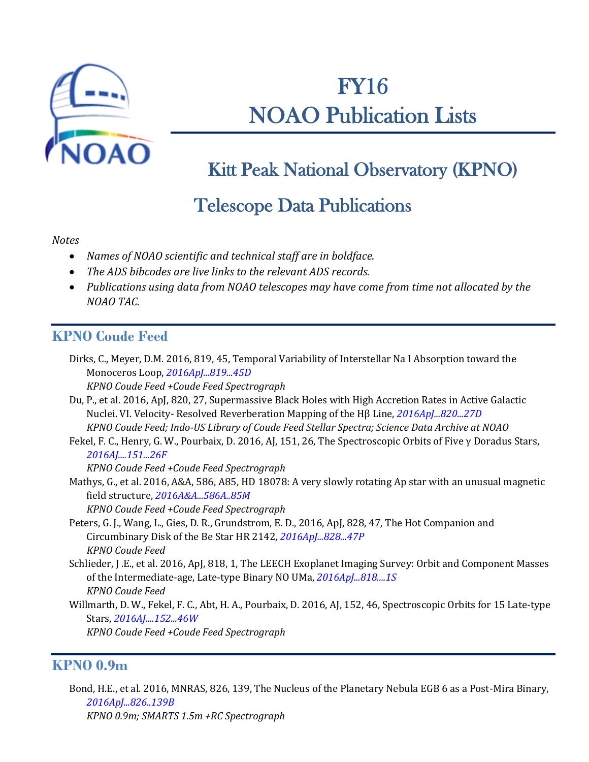

# FY16 NOAO Publication Lists

## Kitt Peak National Observatory (KPNO)

### Telescope Data Publications

#### *Notes*

- *Names of NOAO scientific and technical staff are in boldface.*
- *The ADS bibcodes are live links to the relevant ADS records.*
- *Publications using data from NOAO telescopes may have come from time not allocated by the NOAO TAC.*

#### **KPNO Coude Feed**

| Dirks, C., Meyer, D.M. 2016, 819, 45, Temporal Variability of Interstellar Na I Absorption toward the |  |
|-------------------------------------------------------------------------------------------------------|--|
| Monoceros Loop, 2016ApJ81945D                                                                         |  |

- *KPNO Coude Feed +Coude Feed Spectrograph*
- Du, P., et al. 2016, ApJ, 820, 27, Supermassive Black Holes with High Accretion Rates in Active Galactic Nuclei. VI. Velocity- Resolved Reverberation Mapping of the Hβ Line, *[2016ApJ...820...27D](http://adsabs.harvard.edu/abs/2016ApJ...820...27D)*

*KPNO Coude Feed; Indo-US Library of Coude Feed Stellar Spectra; Science Data Archive at NOAO*

Fekel, F. C., Henry, G. W., Pourbaix, D. 2016, AJ, 151, 26, The Spectroscopic Orbits of Five γ Doradus Stars, *[2016AJ....151...26F](http://adsabs.harvard.edu/abs/2016AJ....151...26F)*

*KPNO Coude Feed +Coude Feed Spectrograph*

Mathys, G., et al. 2016, A&A, 586, A85, HD 18078: A very slowly rotating Ap star with an unusual magnetic field structure, *[2016A&A...586A..85M](http://adsabs.harvard.edu/abs/2016A%26A...586A..85M)*

*KPNO Coude Feed +Coude Feed Spectrograph*

- Peters, G. J., Wang, L., Gies, D. R., Grundstrom, E. D., 2016, ApJ, 828, 47, The Hot Companion and Circumbinary Disk of the Be Star HR 2142, *[2016ApJ...828...47P](http://adsabs.harvard.edu/abs/2016ApJ...828...47P) KPNO Coude Feed*
- Schlieder, J .E., et al. 2016, ApJ, 818, 1, The LEECH Exoplanet Imaging Survey: Orbit and Component Masses of the Intermediate-age, Late-type Binary NO UMa, *[2016ApJ...818....1S](http://adsabs.harvard.edu/abs/2016ApJ...818....1S) KPNO Coude Feed*
- Willmarth, D. W., Fekel, F. C., Abt, H. A., Pourbaix, D. 2016, AJ, 152, 46, Spectroscopic Orbits for 15 Late-type Stars, *[2016AJ....152...46W](http://adsabs.harvard.edu/cgi-bin/nph-data_query?bibcode=2016AJ....152...46W&db_key=AST&link_type=ABSTRACT&high=4c477de7eb11175)*

*KPNO Coude Feed +Coude Feed Spectrograph*

#### **KPNO 0.9m**

Bond, H.E., et al. 2016, MNRAS, 826, 139, The Nucleus of the Planetary Nebula EGB 6 as a Post-Mira Binary, *[2016ApJ...826..139B](http://adsabs.harvard.edu/abs/2016ApJ...826..139B) KPNO 0.9m; SMARTS 1.5m +RC Spectrograph*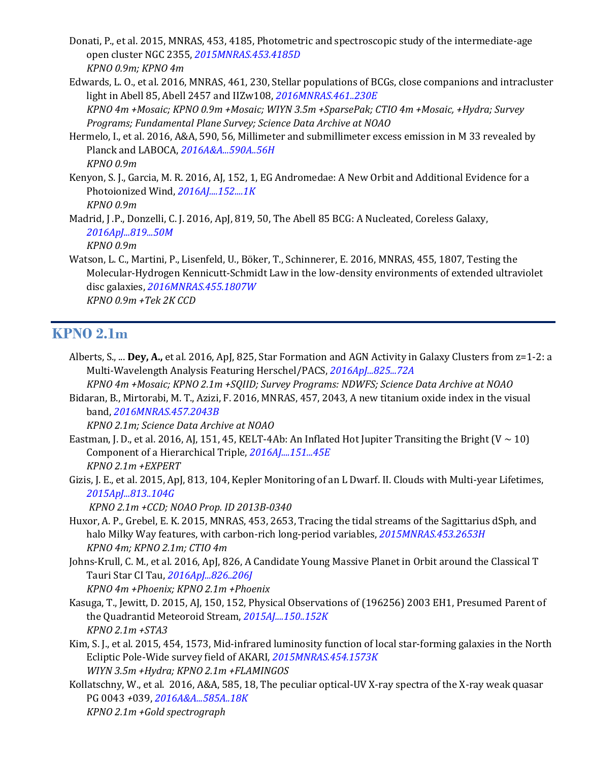- Donati, P., et al. 2015, MNRAS, 453, 4185, Photometric and spectroscopic study of the intermediate-age open cluster NGC 2355, *[2015MNRAS.453.4185D](http://adsabs.harvard.edu/abs/2015MNRAS.453.4185D) KPNO 0.9m; KPNO 4m*
- Edwards, L. O., et al. 2016, MNRAS, 461, 230, Stellar populations of BCGs, close companions and intracluster light in Abell 85, Abell 2457 and IIZw108, *[2016MNRAS.461..230E](http://adsabs.harvard.edu/abs/2016MNRAS.461..230E) KPNO 4m +Mosaic; KPNO 0.9m +Mosaic; WIYN 3.5m +SparsePak; CTIO 4m +Mosaic, +Hydra; Survey Programs; Fundamental Plane Survey; Science Data Archive at NOAO*
- Hermelo, I., et al. 2016, A&A, 590, 56, Millimeter and submillimeter excess emission in M 33 revealed by Planck and LABOCA, *[2016A&A...590A..56H](http://adsabs.harvard.edu/abs/2016A%26A...590A..56H) KPNO 0.9m*
- Kenyon, S. J., Garcia, M. R. 2016, AJ, 152, 1, EG Andromedae: A New Orbit and Additional Evidence for a Photoionized Wind, *[2016AJ....152....1K](http://adsabs.harvard.edu/abs/2016AJ....152....1K) KPNO 0.9m*
- Madrid, J .P., Donzelli, C. J. 2016, ApJ, 819, 50, The Abell 85 BCG: A Nucleated, Coreless Galaxy, *[2016ApJ...819...50M](http://adsabs.harvard.edu/abs/2016ApJ...819...50M) KPNO 0.9m*
- Watson, L. C., Martini, P., Lisenfeld, U., Böker, T., Schinnerer, E. 2016, MNRAS, 455, 1807, Testing the Molecular-Hydrogen Kennicutt-Schmidt Law in the low-density environments of extended ultraviolet disc galaxies, *[2016MNRAS.455.1807W](http://adsabs.harvard.edu/abs/2016MNRAS.455.1807W) KPNO 0.9m +Tek 2K CCD*

#### **KPNO 2.1m**

Alberts, S., ... **Dey, A.,** et al. 2016, ApJ, 825, Star Formation and AGN Activity in Galaxy Clusters from z=1-2: a Multi-Wavelength Analysis Featuring Herschel/PACS, *[2016ApJ...825...72A](http://adsabs.harvard.edu/abs/2016ApJ...825...72A)*

*KPNO 4m +Mosaic; KPNO 2.1m +SQIID; Survey Programs: NDWFS; Science Data Archive at NOAO* Bidaran, B., Mirtorabi, M. T., Azizi, F. 2016, MNRAS, 457, 2043, A new titanium oxide index in the visual

band, *[2016MNRAS.457.2043B](http://adsabs.harvard.edu/abs/2016MNRAS.457.2043B)*

*KPNO 2.1m; Science Data Archive at NOAO*

- Eastman, J. D., et al. 2016, AJ, 151, 45, KELT-4Ab: An Inflated Hot Jupiter Transiting the Bright (V ~ 10) Component of a Hierarchical Triple, *[2016AJ....151...45E](http://adsabs.harvard.edu/abs/2016AJ....151...45E) KPNO 2.1m +EXPERT*
- Gizis, J. E., et al. 2015, ApJ, 813, 104, Kepler Monitoring of an L Dwarf. II. Clouds with Multi-year Lifetimes, *[2015ApJ...813..104G](http://adsabs.harvard.edu/abs/2015ApJ...813..104G)*

*KPNO 2.1m +CCD; NOAO Prop. ID 2013B-0340*

- Huxor, A. P., Grebel, E. K. 2015, MNRAS, 453, 2653, Tracing the tidal streams of the Sagittarius dSph, and halo Milky Way features, with carbon-rich long-period variables, *[2015MNRAS.453.2653H](http://adsabs.harvard.edu/abs/2015MNRAS.453.2653H) KPNO 4m; KPNO 2.1m; CTIO 4m*
- Johns-Krull, C. M., et al. 2016, ApJ, 826, A Candidate Young Massive Planet in Orbit around the Classical T Tauri Star CI Tau, *[2016ApJ...826..206J](http://adsabs.harvard.edu/abs/2016ApJ...826..206J)*

*KPNO 4m +Phoenix; KPNO 2.1m +Phoenix*

- Kasuga, T., Jewitt, D. 2015, AJ, 150, 152, Physical Observations of (196256) 2003 EH1, Presumed Parent of the Quadrantid Meteoroid Stream, *[2015AJ....150..152K](http://adsabs.harvard.edu/abs/2015AJ....150..152K) KPNO 2.1m +STA3*
- Kim, S. J., et al. 2015, 454, 1573, Mid-infrared luminosity function of local star-forming galaxies in the North Ecliptic Pole-Wide survey field of AKARI, *[2015MNRAS.454.1573K](http://adsabs.harvard.edu/abs/2015MNRAS.454.1573K) WIYN 3.5m +Hydra; KPNO 2.1m +FLAMINGOS*
- Kollatschny, W., et al. 2016, A&A, 585, 18, The peculiar optical-UV X-ray spectra of the X-ray weak quasar PG 0043 *+*039, *[2016A&A...585A..18K](http://adsabs.harvard.edu/abs/2016A%26A...585A..18K) KPNO 2.1m +Gold spectrograph*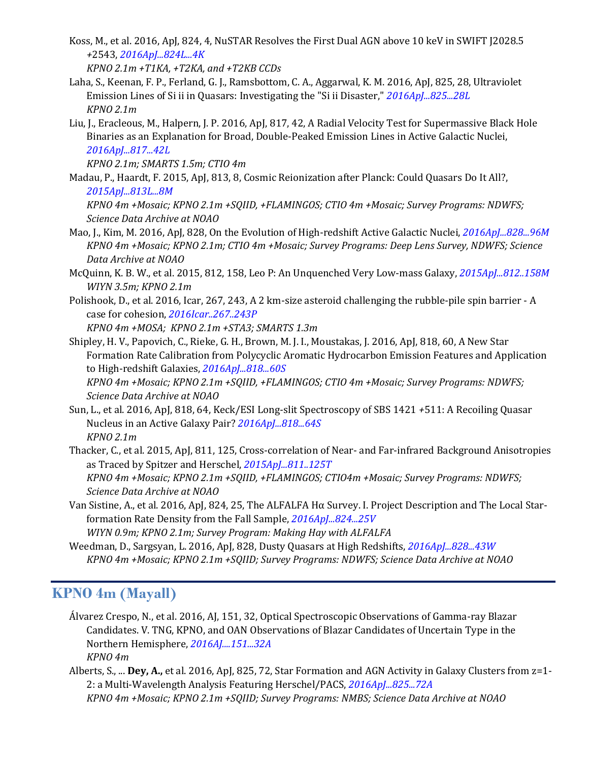Koss, M., et al. 2016, ApJ, 824, 4, NuSTAR Resolves the First Dual AGN above 10 keV in SWIFT J2028.5 *+*2543, *[2016ApJ...824L...4K](http://adsabs.harvard.edu/abs/2016ApJ...824L...4K)*

*KPNO 2.1m +T1KA, +T2KA, and +T2KB CCDs*

- Laha, S., Keenan, F. P., Ferland, G. J., Ramsbottom, C. A., Aggarwal, K. M. 2016, ApJ, 825, 28, Ultraviolet Emission Lines of Si ii in Quasars: Investigating the "Si ii Disaster," *[2016ApJ...825...28L](http://adsabs.harvard.edu/abs/2016ApJ...825...28L) KPNO 2.1m*
- Liu, J., Eracleous, M., Halpern, J. P. 2016, ApJ, 817, 42, A Radial Velocity Test for Supermassive Black Hole Binaries as an Explanation for Broad, Double-Peaked Emission Lines in Active Galactic Nuclei, *[2016ApJ...817...42L](http://adsabs.harvard.edu/abs/2016ApJ...817...42L)*

*KPNO 2.1m; SMARTS 1.5m; CTIO 4m*

Madau, P., Haardt, F. 2015, ApJ, 813, 8, Cosmic Reionization after Planck: Could Quasars Do It All?, *[2015ApJ...813L...8M](http://adsabs.harvard.edu/abs/2015ApJ...813L...8M)*

*KPNO 4m +Mosaic; KPNO 2.1m +SQIID, +FLAMINGOS; CTIO 4m +Mosaic; Survey Programs: NDWFS; Science Data Archive at NOAO*

- Mao, J., Kim, M. 2016, ApJ, 828, On the Evolution of High-redshift Active Galactic Nuclei, *[2016ApJ...828...96M](http://adsabs.harvard.edu/abs/2016ApJ...828...96M) KPNO 4m +Mosaic; KPNO 2.1m; CTIO 4m +Mosaic; Survey Programs: Deep Lens Survey, NDWFS; Science Data Archive at NOAO*
- McQuinn, K. B. W., et al. 2015, 812, 158, Leo P: An Unquenched Very Low-mass Galaxy, *[2015ApJ...812..158M](http://adsabs.harvard.edu/abs/2015ApJ...812..158M) WIYN 3.5m; KPNO 2.1m*
- Polishook, D., et al. 2016, Icar, 267, 243, A 2 km-size asteroid challenging the rubble-pile spin barrier A case for cohesion, *[2016Icar..267..243P](http://adsabs.harvard.edu/abs/2016Icar..267..243P)*

*KPNO 4m +MOSA; KPNO 2.1m +STA3; SMARTS 1.3m*

Shipley, H. V., Papovich, C., Rieke, G. H., Brown, M. J. I., Moustakas, J. 2016, ApJ, 818, 60, A New Star Formation Rate Calibration from Polycyclic Aromatic Hydrocarbon Emission Features and Application to High-redshift Galaxies, *[2016ApJ...818...60S](http://adsabs.harvard.edu/abs/2016ApJ...818...60S)*

*KPNO 4m +Mosaic; KPNO 2.1m +SQIID, +FLAMINGOS; CTIO 4m +Mosaic; Survey Programs: NDWFS; Science Data Archive at NOAO*

- Sun, L., et al. 2016, ApJ, 818, 64, Keck/ESI Long-slit Spectroscopy of SBS 1421 *+*511: A Recoiling Quasar Nucleus in an Active Galaxy Pair? *[2016ApJ...818...64S](http://adsabs.harvard.edu/abs/2016ApJ...818...64S) KPNO 2.1m*
- Thacker, C., et al. 2015, ApJ, 811, 125, Cross-correlation of Near- and Far-infrared Background Anisotropies as Traced by Spitzer and Herschel, *[2015ApJ...811..125T](http://adsabs.harvard.edu/abs/2015ApJ...811..125T)*

*KPNO 4m +Mosaic; KPNO 2.1m +SQIID, +FLAMINGOS; CTIO4m +Mosaic; Survey Programs: NDWFS; Science Data Archive at NOAO*

Van Sistine, A., et al. 2016, ApJ, 824, 25, The ALFALFA Hα Survey. I. Project Description and The Local Starformation Rate Density from the Fall Sample, *[2016ApJ...824...25V](http://adsabs.harvard.edu/abs/2016ApJ...824...25V)*

*WIYN 0.9m; KPNO 2.1m; Survey Program: Making Hay with ALFALFA*

Weedman, D., Sargsyan, L. 2016, ApJ, 828, Dusty Quasars at High Redshifts, *[2016ApJ...828...43W](http://adsabs.harvard.edu/abs/2016ApJ...828...43W) KPNO 4m +Mosaic; KPNO 2.1m +SQIID; Survey Programs: NDWFS; Science Data Archive at NOAO*

#### **KPNO 4m (Mayall)**

- Álvarez Crespo, N., et al. 2016, AJ, 151, 32, Optical Spectroscopic Observations of Gamma-ray Blazar Candidates. V. TNG, KPNO, and OAN Observations of Blazar Candidates of Uncertain Type in the Northern Hemisphere, *[2016AJ....151...32A](http://adsabs.harvard.edu/abs/2016AJ....151...32A) KPNO 4m*
- Alberts, S., ... **Dey, A.,** et al. 2016, ApJ, 825, 72, Star Formation and AGN Activity in Galaxy Clusters from z=1- 2: a Multi-Wavelength Analysis Featuring Herschel/PACS, *[2016ApJ...825...72A](http://adsabs.harvard.edu/abs/2016ApJ...825...72A) KPNO 4m +Mosaic; KPNO 2.1m +SQIID; Survey Programs: NMBS; Science Data Archive at NOAO*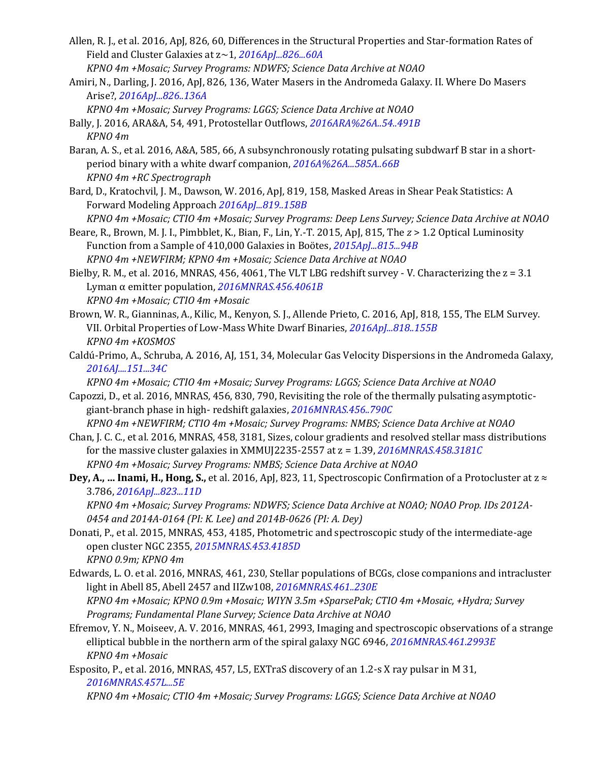- Allen, R. J., et al. 2016, ApJ, 826, 60, Differences in the Structural Properties and Star-formation Rates of Field and Cluster Galaxies at z~1, *[2016ApJ...826...60A](http://adsabs.harvard.edu/abs/2016ApJ...826...60A) KPNO 4m +Mosaic; Survey Programs: NDWFS; Science Data Archive at NOAO*
- Amiri, N., Darling, J. 2016, ApJ, 826, 136, Water Masers in the Andromeda Galaxy. II. Where Do Masers Arise?, *[2016ApJ...826..136A](http://adsabs.harvard.edu/abs/2016ApJ...826..136A)*
- *KPNO 4m +Mosaic; Survey Programs: LGGS; Science Data Archive at NOAO* Bally, J. 2016, ARA&A, 54, 491, Protostellar Outflows, *[2016ARA%26A..54..491B](http://adsabs.harvard.edu/abs/2016ARA%26A..54..491B)*
	- *KPNO 4m*
- Baran, A. S., et al. 2016, A&A, 585, 66, A subsynchronously rotating pulsating subdwarf B star in a shortperiod binary with a white dwarf companion, *[2016A%26A...585A..66B](http://adsabs.harvard.edu/abs/2016A%26A...585A..66B) KPNO 4m +RC Spectrograph*
- Bard, D., Kratochvil, J. M., Dawson, W. 2016, ApJ, 819, 158, Masked Areas in Shear Peak Statistics: A Forward Modeling Approach *[2016ApJ...819..158B](http://adsabs.harvard.edu/cgi-bin/nph-data_query?bibcode=2016ApJ...819..158B&db_key=AST&link_type=ABSTRACT&high=4c477de7eb28141)*
- *KPNO 4m +Mosaic; CTIO 4m +Mosaic; Survey Programs: Deep Lens Survey; Science Data Archive at NOAO* Beare, R., Brown, M. J. I., Pimbblet, K., Bian, F., Lin, Y.-T. 2015, ApJ, 815, The *z* > 1.2 Optical Luminosity
- Function from a Sample of 410,000 Galaxies in Boӧtes, *[2015ApJ...815...94B](http://adsabs.harvard.edu/abs/2015ApJ...815...94B) KPNO 4m +NEWFIRM; KPNO 4m +Mosaic; Science Data Archive at NOAO*
- Bielby, R. M., et al. 2016, MNRAS, 456, 4061, The VLT LBG redshift survey V. Characterizing the z = 3.1 Lyman α emitter population, *[2016MNRAS.456.4061B](http://adsabs.harvard.edu/abs/2016MNRAS.456.4061B) KPNO 4m +Mosaic; CTIO 4m +Mosaic*
- Brown, W. R., Gianninas, A., Kilic, M., Kenyon, S. J., Allende Prieto, C. 2016, ApJ, 818, 155, The ELM Survey. VII. Orbital Properties of Low-Mass White Dwarf Binaries, *[2016ApJ...818..155B](http://adsabs.harvard.edu/abs/2016ApJ...818..155B) KPNO 4m +KOSMOS*
- Caldú-Primo, A., Schruba, A. 2016, AJ, 151, 34, Molecular Gas Velocity Dispersions in the Andromeda Galaxy, *[2016AJ....151...34C](http://adsabs.harvard.edu/abs/2016AJ....151...34C)*
	- *KPNO 4m +Mosaic; CTIO 4m +Mosaic; Survey Programs: LGGS; Science Data Archive at NOAO*
- Capozzi, D., et al. 2016, MNRAS, 456, 830, 790, Revisiting the role of the thermally pulsating asymptoticgiant-branch phase in high- redshift galaxies, *[2016MNRAS.456..790C](http://adsabs.harvard.edu/abs/2016MNRAS.456..790C)*

*KPNO 4m +NEWFIRM; CTIO 4m +Mosaic; Survey Programs: NMBS; Science Data Archive at NOAO*

- Chan, J. C. C., et al. 2016, MNRAS, 458, 3181, Sizes, colour gradients and resolved stellar mass distributions for the massive cluster galaxies in XMMUJ2235-2557 at z = 1.39, *[2016MNRAS.458.3181C](http://adsabs.harvard.edu/abs/2016MNRAS.458.3181C) KPNO 4m +Mosaic; Survey Programs: NMBS; Science Data Archive at NOAO*
- **Dey, A., … Inami, H., Hong, S.,** et al. 2016, ApJ, 823, 11, Spectroscopic Confirmation of a Protocluster at z ≈ 3.786, *[2016ApJ...823...11D](http://adsabs.harvard.edu/abs/2016ApJ...823...11D)*

*KPNO 4m +Mosaic; Survey Programs: NDWFS; Science Data Archive at NOAO; NOAO Prop. IDs 2012A-0454 and 2014A-0164 (PI: K. Lee) and 2014B-0626 (PI: A. Dey)*

- Donati, P., et al. 2015, MNRAS, 453, 4185, Photometric and spectroscopic study of the intermediate-age open cluster NGC 2355, *[2015MNRAS.453.4185D](http://adsabs.harvard.edu/abs/2015MNRAS.453.4185D) KPNO 0.9m; KPNO 4m*
- Edwards, L. O. et al. 2016, MNRAS, 461, 230, Stellar populations of BCGs, close companions and intracluster light in Abell 85, Abell 2457 and IIZw108, *[2016MNRAS.461..230E](http://adsabs.harvard.edu/abs/2016MNRAS.461..230E) KPNO 4m +Mosaic; KPNO 0.9m +Mosaic; WIYN 3.5m +SparsePak; CTIO 4m +Mosaic, +Hydra; Survey Programs; Fundamental Plane Survey; Science Data Archive at NOAO*
- Efremov, Y. N., Moiseev, A. V. 2016, MNRAS, 461, 2993, Imaging and spectroscopic observations of a strange elliptical bubble in the northern arm of the spiral galaxy NGC 6946, *[2016MNRAS.461.2993E](http://adsabs.harvard.edu/abs/2016MNRAS.461.2993E) KPNO 4m +Mosaic*

Esposito, P., et al. 2016, MNRAS, 457, L5, EXTraS discovery of an 1.2-s X ray pulsar in M 31, *[2016MNRAS.457L...5E](http://adsabs.harvard.edu/abs/2016MNRAS.457L...5E)*

*KPNO 4m +Mosaic; CTIO 4m +Mosaic; Survey Programs: LGGS; Science Data Archive at NOAO*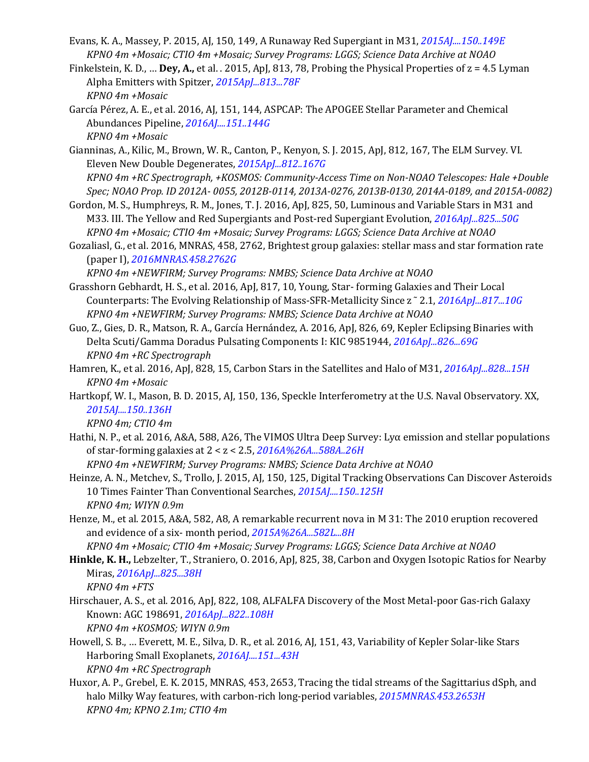- Evans, K. A., Massey, P. 2015, AJ, 150, 149, A Runaway Red Supergiant in M31, *[2015AJ....150..149E](http://adsabs.harvard.edu/abs/2015AJ....150..149E) KPNO 4m +Mosaic; CTIO 4m +Mosaic; Survey Programs: LGGS; Science Data Archive at NOAO*
- Finkelstein, K. D., … **Dey, A.,** et al. . 2015, ApJ, 813, 78, Probing the Physical Properties of z = 4.5 Lyman Alpha Emitters with Spitzer, *[2015ApJ...813...78F](http://adsabs.harvard.edu/abs/2015ApJ...813...78F) KPNO 4m +Mosaic*
- García Pérez, A. E., et al. 2016, AJ, 151, 144, ASPCAP: The APOGEE Stellar Parameter and Chemical Abundances Pipeline, *[2016AJ....151..144G](http://adsabs.harvard.edu/abs/2016AJ....151..144G) KPNO 4m +Mosaic*
- Gianninas, A., Kilic, M., Brown, W. R., Canton, P., Kenyon, S. J. 2015, ApJ, 812, 167, The ELM Survey. VI. Eleven New Double Degenerates, *[2015ApJ...812..167G](http://adsabs.harvard.edu/abs/2015ApJ...812..167G) KPNO 4m +RC Spectrograph, +KOSMOS: Community-Access Time on Non-NOAO Telescopes: Hale +Double Spec; NOAO Prop. ID 2012A- 0055, 2012B-0114, 2013A-0276, 2013B-0130, 2014A-0189, and 2015A-0082)*
- Gordon, M. S., Humphreys, R. M., Jones, T. J. 2016, ApJ, 825, 50, Luminous and Variable Stars in M31 and M33. III. The Yellow and Red Supergiants and Post-red Supergiant Evolution, *[2016ApJ...825...50G](http://adsabs.harvard.edu/abs/2016ApJ...825...50G) KPNO 4m +Mosaic; CTIO 4m +Mosaic; Survey Programs: LGGS; Science Data Archive at NOAO*
- Gozaliasl, G., et al. 2016, MNRAS, 458, 2762, Brightest group galaxies: stellar mass and star formation rate (paper I), *[2016MNRAS.458.2762G](http://adsabs.harvard.edu/abs/2016MNRAS.458.2762G)*

*KPNO 4m +NEWFIRM; Survey Programs: NMBS; Science Data Archive at NOAO*

Grasshorn Gebhardt, H. S., et al. 2016, ApJ, 817, 10, Young, Star- forming Galaxies and Their Local Counterparts: The Evolving Relationship of Mass-SFR-Metallicity Since z ˜ 2.1, *[2016ApJ...817...10G](http://adsabs.harvard.edu/abs/2016ApJ...817...10G) KPNO 4m +NEWFIRM; Survey Programs: NMBS; Science Data Archive at NOAO*

- Guo, Z., Gies, D. R., Matson, R. A., García Hernández, A. 2016, ApJ, 826, 69, Kepler Eclipsing Binaries with Delta Scuti/Gamma Doradus Pulsating Components I: KIC 9851944, *[2016ApJ...826...69G](http://adsabs.harvard.edu/abs/2016ApJ...826...69G) KPNO 4m +RC Spectrograph*
- Hamren, K., et al. 2016, ApJ, 828, 15, Carbon Stars in the Satellites and Halo of M31, *[2016ApJ...828...15H](http://adsabs.harvard.edu/abs/2016ApJ...828...15H) KPNO 4m +Mosaic*
- Hartkopf, W. I., Mason, B. D. 2015, AJ, 150, 136, Speckle Interferometry at the U.S. Naval Observatory. XX, *[2015AJ....150..136H](http://adsabs.harvard.edu/abs/2015AJ....150..136H)*

*KPNO 4m; CTIO 4m*

Hathi, N. P., et al. 2016, A&A, 588, A26, The VIMOS Ultra Deep Survey: Lyα emission and stellar populations of star-forming galaxies at 2 < z < 2.5, *[2016A%26A...588A..26H](http://adsabs.harvard.edu/abs/2016A%26A...588A..26H)*

*KPNO 4m +NEWFIRM; Survey Programs: NMBS; Science Data Archive at NOAO*

- Heinze, A. N., Metchev, S., Trollo, J. 2015, AJ, 150, 125, Digital Tracking Observations Can Discover Asteroids 10 Times Fainter Than Conventional Searches, *[2015AJ....150..125H](http://adsabs.harvard.edu/abs/2015AJ....150..125H) KPNO 4m; WIYN 0.9m*
- Henze, M., et al. 2015, A&A, 582, A8, A remarkable recurrent nova in M 31: The 2010 eruption recovered and evidence of a six- month period, *[2015A%26A...582L...8H](http://adsabs.harvard.edu/abs/2015A%26A...582L...8H)*
- *KPNO 4m +Mosaic; CTIO 4m +Mosaic; Survey Programs: LGGS; Science Data Archive at NOAO* **Hinkle, K. H.,** Lebzelter, T., Straniero, O. 2016, ApJ, 825, 38, Carbon and Oxygen Isotopic Ratios for Nearby
- Miras, *[2016ApJ...825...38H](http://adsabs.harvard.edu/abs/2016ApJ...825...38H) KPNO 4m +FTS*
- Hirschauer, A. S., et al. 2016, ApJ, 822, 108, ALFALFA Discovery of the Most Metal-poor Gas-rich Galaxy Known: AGC 198691, *[2016ApJ...822..108H](http://adsabs.harvard.edu/abs/2016ApJ...822..108H) KPNO 4m +KOSMOS; WIYN 0.9m*
- Howell, S. B., … Everett, M. E., Silva, D. R., et al. 2016, AJ, 151, 43, Variability of Kepler Solar-like Stars Harboring Small Exoplanets, *[2016AJ....151...43H](http://adsabs.harvard.edu/abs/2016AJ....151...43H) KPNO 4m +RC Spectrograph*
- Huxor, A. P., Grebel, E. K. 2015, MNRAS, 453, 2653, Tracing the tidal streams of the Sagittarius dSph, and halo Milky Way features, with carbon-rich long-period variables, *[2015MNRAS.453.2653H](http://adsabs.harvard.edu/abs/2015MNRAS.453.2653H) KPNO 4m; KPNO 2.1m; CTIO 4m*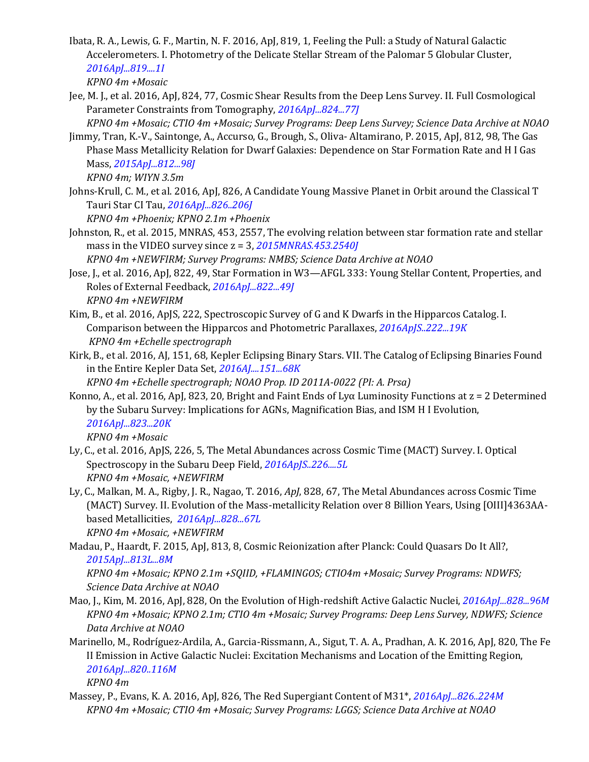Ibata, R. A., Lewis, G. F., Martin, N. F. 2016, ApJ, 819, 1, Feeling the Pull: a Study of Natural Galactic Accelerometers. I. Photometry of the Delicate Stellar Stream of the Palomar 5 Globular Cluster, *[2016ApJ...819....1I](http://adsabs.harvard.edu/abs/2016ApJ...819....1I) KPNO 4m +Mosaic*

- Jee, M. J., et al. 2016, ApJ, 824, 77, Cosmic Shear Results from the Deep Lens Survey. II. Full Cosmological Parameter Constraints from Tomography, *[2016ApJ...824...77J](http://adsabs.harvard.edu/abs/2016ApJ...824...77J)*
- *KPNO 4m +Mosaic; CTIO 4m +Mosaic; Survey Programs: Deep Lens Survey; Science Data Archive at NOAO* Jimmy, Tran, K.-V., Saintonge, A., Accurso, G., Brough, S., Oliva- Altamirano, P. 2015, ApJ, 812, 98, The Gas Phase Mass Metallicity Relation for Dwarf Galaxies: Dependence on Star Formation Rate and H I Gas Mass, *[2015ApJ...812...98J](http://adsabs.harvard.edu/abs/2015ApJ...812...98J)*

*KPNO 4m; WIYN 3.5m*

Johns-Krull, C. M., et al. 2016, ApJ, 826, A Candidate Young Massive Planet in Orbit around the Classical T Tauri Star CI Tau, *[2016ApJ...826..206J](http://adsabs.harvard.edu/abs/2016ApJ...826..206J)*

*KPNO 4m +Phoenix; KPNO 2.1m +Phoenix*

Johnston, R., et al. 2015, MNRAS, 453, 2557, The evolving relation between star formation rate and stellar mass in the VIDEO survey since z = 3, *[2015MNRAS.453.2540J](http://adsabs.harvard.edu/abs/2015MNRAS.453.2540J)*

*KPNO 4m +NEWFIRM; Survey Programs: NMBS; Science Data Archive at NOAO*

- Jose, J., et al. 2016, ApJ, 822, 49, Star Formation in W3—AFGL 333: Young Stellar Content, Properties, and Roles of External Feedback, *[2016ApJ...822...49J](http://adsabs.harvard.edu/abs/2016ApJ...822...49J) KPNO 4m +NEWFIRM*
- Kim, B., et al. 2016, ApJS, 222, Spectroscopic Survey of G and K Dwarfs in the Hipparcos Catalog. I. Comparison between the Hipparcos and Photometric Parallaxes, *[2016ApJS..222...19K](http://adsabs.harvard.edu/abs/2016ApJS..222...19K) KPNO 4m +Echelle spectrograph*
- Kirk, B., et al. 2016, AJ, 151, 68, Kepler Eclipsing Binary Stars. VII. The Catalog of Eclipsing Binaries Found in the Entire Kepler Data Set, *[2016AJ....151...68K](http://adsabs.harvard.edu/abs/2016AJ....151...68K)*
	- *KPNO 4m +Echelle spectrograph; NOAO Prop. ID 2011A-0022 (PI: A. Prsa)*
- Konno, A., et al. 2016, ApJ, 823, 20, Bright and Faint Ends of Lyα Luminosity Functions at z = 2 Determined by the Subaru Survey: Implications for AGNs, Magnification Bias, and ISM H I Evolution, *[2016ApJ...823...20K](http://adsabs.harvard.edu/abs/2016ApJ...823...20K) KPNO 4m +Mosaic*
- Ly, C., et al. 2016, ApJS, 226, 5, The Metal Abundances across Cosmic Time (MACT) Survey. I. Optical Spectroscopy in the Subaru Deep Field, *[2016ApJS..226....5L](http://adsabs.harvard.edu/abs/2016ApJS..226....5L) KPNO 4m +Mosaic, +NEWFIRM*
- Ly, C., Malkan, M. A., Rigby, J. R., Nagao, T. 2016, *ApJ*, 828, 67, The Metal Abundances across Cosmic Time (MACT) Survey. II. Evolution of the Mass-metallicity Relation over 8 Billion Years, Using [OIII]4363AAbased Metallicities, *[2016ApJ...828...67L](http://adsabs.harvard.edu/cgi-bin/nph-data_query?bibcode=2016ApJ...828...67L&db_key=AST&link_type=ABSTRACT) KPNO 4m +Mosaic, +NEWFIRM*
- Madau, P., Haardt, F. 2015, ApJ, 813, 8, Cosmic Reionization after Planck: Could Quasars Do It All?, *[2015ApJ...813L...8M](http://adsabs.harvard.edu/abs/2015ApJ...813L...8M)*

*KPNO 4m +Mosaic; KPNO 2.1m +SQIID, +FLAMINGOS; CTIO4m +Mosaic; Survey Programs: NDWFS; Science Data Archive at NOAO*

- Mao, J., Kim, M. 2016, ApJ, 828, On the Evolution of High-redshift Active Galactic Nuclei, *[2016ApJ...828...96M](http://adsabs.harvard.edu/abs/2016ApJ...828...96M) KPNO 4m +Mosaic; KPNO 2.1m; CTIO 4m +Mosaic; Survey Programs: Deep Lens Survey, NDWFS; Science Data Archive at NOAO*
- Marinello, M., Rodríguez-Ardila, A., Garcia-Rissmann, A., Sigut, T. A. A., Pradhan, A. K. 2016, ApJ, 820, The Fe II Emission in Active Galactic Nuclei: Excitation Mechanisms and Location of the Emitting Region, *[2016ApJ...820..116M](http://adsabs.harvard.edu/abs/2016ApJ...820..116M)*

*KPNO 4m*

Massey, P., Evans, K. A. 2016, ApJ, 826, The Red Supergiant Content of M31\*, *[2016ApJ...826..224M](http://adsabs.harvard.edu/abs/2016ApJ...826..224M) KPNO 4m +Mosaic; CTIO 4m +Mosaic; Survey Programs: LGGS; Science Data Archive at NOAO*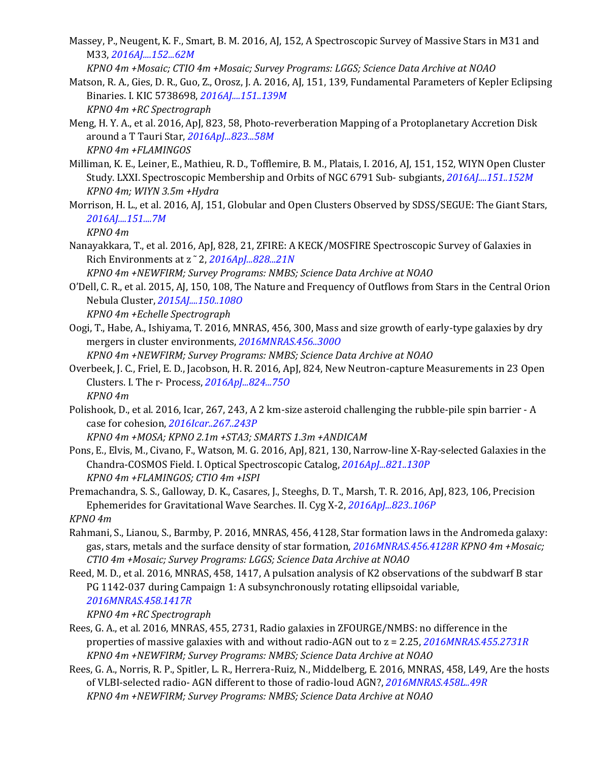Massey, P., Neugent, K. F., Smart, B. M. 2016, AJ, 152, A Spectroscopic Survey of Massive Stars in M31 and M33, *[2016AJ....152...62M](http://adsabs.harvard.edu/abs/2016AJ....152...62M)*

*KPNO 4m +Mosaic; CTIO 4m +Mosaic; Survey Programs: LGGS; Science Data Archive at NOAO*

- Matson, R. A., Gies, D. R., Guo, Z., Orosz, J. A. 2016, AJ, 151, 139, Fundamental Parameters of Kepler Eclipsing Binaries. I. KIC 5738698, *[2016AJ....151..139M](http://adsabs.harvard.edu/abs/2016AJ....151..139M) KPNO 4m +RC Spectrograph*
- Meng, H. Y. A., et al. 2016, ApJ, 823, 58, Photo-reverberation Mapping of a Protoplanetary Accretion Disk around a T Tauri Star, *[2016ApJ...823...58M](http://adsabs.harvard.edu/abs/2016ApJ...823...58M) KPNO 4m +FLAMINGOS*
- Milliman, K. E., Leiner, E., Mathieu, R. D., Tofflemire, B. M., Platais, I. 2016, AJ, 151, 152, WIYN Open Cluster Study. LXXI. Spectroscopic Membership and Orbits of NGC 6791 Sub- subgiants, *[2016AJ....151..152M](http://adsabs.harvard.edu/abs/2016AJ....151..152M) KPNO 4m; WIYN 3.5m +Hydra*
- Morrison, H. L., et al. 2016, AJ, 151, Globular and Open Clusters Observed by SDSS/SEGUE: The Giant Stars, *[2016AJ....151....7M](http://adsabs.harvard.edu/abs/2016AJ....151....7M)*

*KPNO 4m*

Nanayakkara, T., et al. 2016, ApJ, 828, 21, ZFIRE: A KECK/MOSFIRE Spectroscopic Survey of Galaxies in Rich Environments at z ˜ 2, *[2016ApJ...828...21N](http://adsabs.harvard.edu/abs/2016ApJ...828...21N)*

*KPNO 4m +NEWFIRM; Survey Programs: NMBS; Science Data Archive at NOAO*

O'Dell, C. R., et al. 2015, AJ, 150, 108, The Nature and Frequency of Outflows from Stars in the Central Orion Nebula Cluster, *[2015AJ....150..108O](http://adsabs.harvard.edu/abs/2015AJ....150..108O)*

*KPNO 4m +Echelle Spectrograph*

Oogi, T., Habe, A., Ishiyama, T. 2016, MNRAS, 456, 300, Mass and size growth of early-type galaxies by dry mergers in cluster environments, *[2016MNRAS.456..300O](http://adsabs.harvard.edu/abs/2016MNRAS.456..300O)*

*KPNO 4m +NEWFIRM; Survey Programs: NMBS; Science Data Archive at NOAO*

- Overbeek, J. C., Friel, E. D., Jacobson, H. R. 2016, ApJ, 824, New Neutron-capture Measurements in 23 Open Clusters. I. The r- Process, *[2016ApJ...824...75O](http://adsabs.harvard.edu/abs/2016ApJ...824...75O) KPNO 4m*
- Polishook, D., et al. 2016, Icar, 267, 243, A 2 km-size asteroid challenging the rubble-pile spin barrier A case for cohesion, *[2016Icar..267..243P](http://adsabs.harvard.edu/abs/2016Icar..267..243P)*

*KPNO 4m +MOSA; KPNO 2.1m +STA3; SMARTS 1.3m +ANDICAM*

- Pons, E., Elvis, M., Civano, F., Watson, M. G. 2016, ApJ, 821, 130, Narrow-line X-Ray-selected Galaxies in the Chandra-COSMOS Field. I. Optical Spectroscopic Catalog, *[2016ApJ...821..130P](http://adsabs.harvard.edu/abs/2016ApJ...821..130P) KPNO 4m +FLAMINGOS; CTIO 4m +ISPI*
- Premachandra, S. S., Galloway, D. K., Casares, J., Steeghs, D. T., Marsh, T. R. 2016, ApJ, 823, 106, Precision Ephemerides for Gravitational Wave Searches. II. Cyg X-2, *[2016ApJ...823..106P](http://adsabs.harvard.edu/abs/2016ApJ...823..106P)*

*KPNO 4m*

- Rahmani, S., Lianou, S., Barmby, P. 2016, MNRAS, 456, 4128, Star formation laws in the Andromeda galaxy: gas, stars, metals and the surface density of star formation, *[2016MNRAS.456.4128R](http://adsabs.harvard.edu/abs/2016MNRAS.456.4128R) KPNO 4m +Mosaic; CTIO 4m +Mosaic; Survey Programs: LGGS; Science Data Archive at NOAO*
- Reed, M. D., et al. 2016, MNRAS, 458, 1417, A pulsation analysis of K2 observations of the subdwarf B star PG 1142-037 during Campaign 1: A subsynchronously rotating ellipsoidal variable, *[2016MNRAS.458.1417R](http://adsabs.harvard.edu/abs/2016MNRAS.458.1417R)*

*KPNO 4m +RC Spectrograph*

- Rees, G. A., et al. 2016, MNRAS, 455, 2731, Radio galaxies in ZFOURGE/NMBS: no difference in the properties of massive galaxies with and without radio-AGN out to z = 2.25, *[2016MNRAS.455.2731R](http://adsabs.harvard.edu/abs/2016MNRAS.455.2731R) KPNO 4m +NEWFIRM; Survey Programs: NMBS; Science Data Archive at NOAO*
- Rees, G. A., Norris, R. P., Spitler, L. R., Herrera-Ruiz, N., Middelberg, E. 2016, MNRAS, 458, L49, Are the hosts of VLBI-selected radio- AGN different to those of radio-loud AGN?, *[2016MNRAS.458L..49R](http://adsabs.harvard.edu/abs/2016MNRAS.458L..49R) KPNO 4m +NEWFIRM; Survey Programs: NMBS; Science Data Archive at NOAO*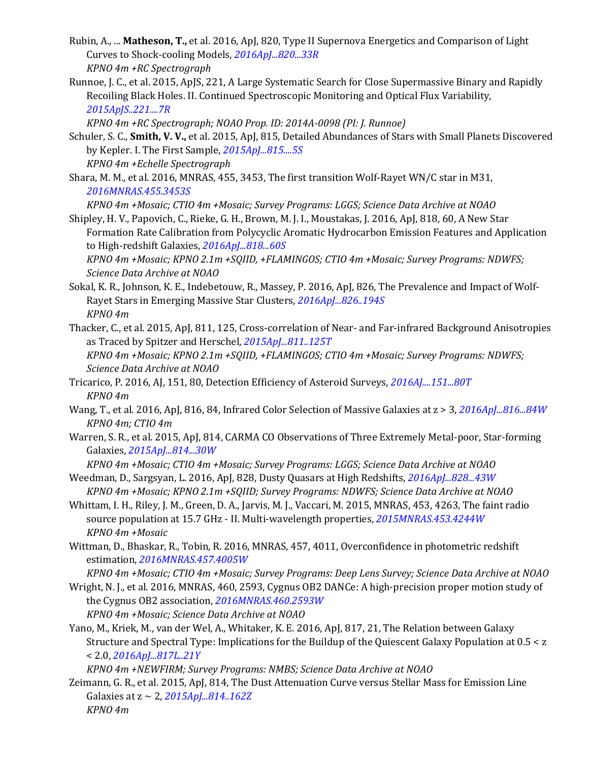- Rubin, A., ... **Matheson, T.,** et al. 2016, ApJ, 820, Type II Supernova Energetics and Comparison of Light Curves to Shock-cooling Models, *[2016ApJ...820...33R](http://adsabs.harvard.edu/abs/2016ApJ...820...33R) KPNO 4m +RC Spectrograph*
- Runnoe, J. C., et al. 2015, ApJS, 221, A Large Systematic Search for Close Supermassive Binary and Rapidly Recoiling Black Holes. II. Continued Spectroscopic Monitoring and Optical Flux Variability, *[2015ApJS..221....7R](http://adsabs.harvard.edu/abs/2015ApJS..221....7R)*

*KPNO 4m +RC Spectrograph; NOAO Prop. ID: 2014A-0098 (PI: J. Runnoe)*

- Schuler, S. C., **Smith, V. V.,** et al. 2015, ApJ, 815, Detailed Abundances of Stars with Small Planets Discovered by Kepler. I. The First Sample, *[2015ApJ...815....5S](http://adsabs.harvard.edu/abs/2015ApJ...815....5S) KPNO 4m +Echelle Spectrograph*
- Shara, M. M., et al. 2016, MNRAS, 455, 3453, The first transition Wolf-Rayet WN/C star in M31, *[2016MNRAS.455.3453S](http://adsabs.harvard.edu/abs/2016MNRAS.455.3453S)*

*KPNO 4m +Mosaic; CTIO 4m +Mosaic; Survey Programs: LGGS; Science Data Archive at NOAO*

Shipley, H. V., Papovich, C., Rieke, G. H., Brown, M. J. I., Moustakas, J. 2016, ApJ, 818, 60, A New Star Formation Rate Calibration from Polycyclic Aromatic Hydrocarbon Emission Features and Application to High-redshift Galaxies, *[2016ApJ...818...60S](http://adsabs.harvard.edu/abs/2016ApJ...818...60S)*

*KPNO 4m +Mosaic; KPNO 2.1m +SQIID, +FLAMINGOS; CTIO 4m +Mosaic; Survey Programs: NDWFS; Science Data Archive at NOAO*

- Sokal, K. R., Johnson, K. E., Indebetouw, R., Massey, P. 2016, ApJ, 826, The Prevalence and Impact of Wolf-Rayet Stars in Emerging Massive Star Clusters, *[2016ApJ...826..194S](http://adsabs.harvard.edu/abs/2016ApJ...826..194S) KPNO 4m*
- Thacker, C., et al. 2015, ApJ, 811, 125, Cross-correlation of Near- and Far-infrared Background Anisotropies as Traced by Spitzer and Herschel, *[2015ApJ...811..125T](http://adsabs.harvard.edu/abs/2015ApJ...811..125T) KPNO 4m +Mosaic; KPNO 2.1m +SQIID, +FLAMINGOS; CTIO 4m +Mosaic; Survey Programs: NDWFS; Science Data Archive at NOAO*
- Tricarico, P. 2016, AJ, 151, 80, Detection Efficiency of Asteroid Surveys, *[2016AJ....151...80T](http://adsabs.harvard.edu/abs/2016AJ....151...80T) KPNO 4m*
- Wang, T., et al. 2016, ApJ, 816, 84, Infrared Color Selection of Massive Galaxies at z > 3, *[2016ApJ...816...84W](http://adsabs.harvard.edu/abs/2016ApJ...816...84W) KPNO 4m; CTIO 4m*
- Warren, S. R., et al. 2015, ApJ, 814, CARMA CO Observations of Three Extremely Metal-poor, Star-forming Galaxies, *[2015ApJ...814...30W](http://adsabs.harvard.edu/abs/2015ApJ...814...30W)*

*KPNO 4m +Mosaic; CTIO 4m +Mosaic; Survey Programs: LGGS; Science Data Archive at NOAO*

- Weedman, D., Sargsyan, L. 2016, ApJ, 828, Dusty Quasars at High Redshifts, *[2016ApJ...828...43W](http://adsabs.harvard.edu/abs/2016ApJ...828...43W) KPNO 4m +Mosaic; KPNO 2.1m +SQIID; Survey Programs: NDWFS; Science Data Archive at NOAO*
- Whittam, I. H., Riley, J. M., Green, D. A., Jarvis, M. J., Vaccari, M. 2015, MNRAS, 453, 4263, The faint radio source population at 15.7 GHz - II. Multi-wavelength properties, *[2015MNRAS.453.4244W](http://adsabs.harvard.edu/abs/2015MNRAS.453.4244W) KPNO 4m +Mosaic*
- Wittman, D., Bhaskar, R., Tobin, R. 2016, MNRAS, 457, 4011, Overconfidence in photometric redshift estimation, *[2016MNRAS.457.4005W](http://adsabs.harvard.edu/abs/2016MNRAS.457.4005W)*
	- *KPNO 4m +Mosaic; CTIO 4m +Mosaic; Survey Programs: Deep Lens Survey; Science Data Archive at NOAO*
- Wright, N. J., et al. 2016, MNRAS, 460, 2593, Cygnus OB2 DANCe: A high-precision proper motion study of the Cygnus OB2 association, *[2016MNRAS.460.2593W](http://adsabs.harvard.edu/abs/2016MNRAS.460.2593W) KPNO 4m +Mosaic; Science Data Archive at NOAO*
- Yano, M., Kriek, M., van der Wel, A., Whitaker, K. E. 2016, ApJ, 817, 21, The Relation between Galaxy Structure and Spectral Type: Implications for the Buildup of the Quiescent Galaxy Population at 0.5 < z < 2.0, *[2016ApJ...817L..21Y](http://adsabs.harvard.edu/abs/2016ApJ...817L..21Y)*

*KPNO 4m +NEWFIRM; Survey Programs: NMBS; Science Data Archive at NOAO*

Zeimann, G. R., et al. 2015, ApJ, 814, The Dust Attenuation Curve versus Stellar Mass for Emission Line Galaxies at z ~ 2, *[2015ApJ...814..162Z](http://adsabs.harvard.edu/abs/2015ApJ...814..162Z) KPNO 4m*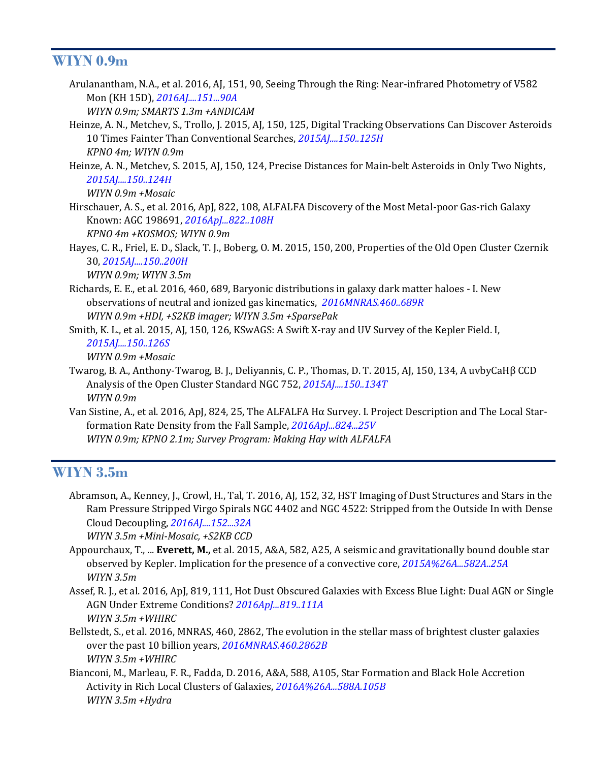#### **WIYN 0.9m**

Arulanantham, N.A., et al. 2016, AJ, 151, 90, Seeing Through the Ring: Near-infrared Photometry of V582 Mon (KH 15D), *[2016AJ....151...90A](http://adsabs.harvard.edu/abs/2016AJ....151...90A)*

*WIYN 0.9m; SMARTS 1.3m +ANDICAM*

- Heinze, A. N., Metchev, S., Trollo, J. 2015, AJ, 150, 125, Digital Tracking Observations Can Discover Asteroids 10 Times Fainter Than Conventional Searches, *[2015AJ....150..125H](http://adsabs.harvard.edu/abs/2015AJ....150..125H) KPNO 4m; WIYN 0.9m*
- Heinze, A. N., Metchev, S. 2015, AJ, 150, 124, Precise Distances for Main-belt Asteroids in Only Two Nights, *[2015AJ....150..124H](http://adsabs.harvard.edu/abs/2015AJ....150..124H)*

*WIYN 0.9m +Mosaic*

- Hirschauer, A. S., et al. 2016, ApJ, 822, 108, ALFALFA Discovery of the Most Metal-poor Gas-rich Galaxy Known: AGC 198691, *[2016ApJ...822..108H](http://adsabs.harvard.edu/abs/2016ApJ...822..108H) KPNO 4m +KOSMOS; WIYN 0.9m*
- Hayes, C. R., Friel, E. D., Slack, T. J., Boberg, O. M. 2015, 150, 200, Properties of the Old Open Cluster Czernik 30, *[2015AJ....150..200H](http://adsabs.harvard.edu/abs/2015AJ....150..200H)*

*WIYN 0.9m; WIYN 3.5m*

Richards, E. E., et al. 2016, 460, 689, Baryonic distributions in galaxy dark matter haloes - I. New observations of neutral and ionized gas kinematics, *[2016MNRAS.460..689R](http://adsabs.harvard.edu/abs/2016MNRAS.460..689R) WIYN 0.9m +HDI, +S2KB imager; WIYN 3.5m +SparsePak*

Smith, K. L., et al. 2015, AJ, 150, 126, KSwAGS: A Swift X-ray and UV Survey of the Kepler Field. I, *[2015AJ....150..126S](http://adsabs.harvard.edu/abs/2015AJ....150..126S)*

*WIYN 0.9m +Mosaic*

- Twarog, B. A., Anthony-Twarog, B. J., Deliyannis, C. P., Thomas, D. T. 2015, AJ, 150, 134, A uvbyCaHβ CCD Analysis of the Open Cluster Standard NGC 752, *[2015AJ....150..134T](http://adsabs.harvard.edu/abs/2015AJ....150..134T) WIYN 0.9m*
- Van Sistine, A., et al. 2016, ApJ, 824, 25, The ALFALFA Hα Survey. I. Project Description and The Local Starformation Rate Density from the Fall Sample, *[2016ApJ...824...25V](http://adsabs.harvard.edu/abs/2016ApJ...824...25V) WIYN 0.9m; KPNO 2.1m; Survey Program: Making Hay with ALFALFA*

#### **WIYN 3.5m**

Abramson, A., Kenney, J., Crowl, H., Tal, T. 2016, AJ, 152, 32, HST Imaging of Dust Structures and Stars in the Ram Pressure Stripped Virgo Spirals NGC 4402 and NGC 4522: Stripped from the Outside In with Dense Cloud Decoupling, *[2016AJ....152...32A](http://adsabs.harvard.edu/abs/2016AJ....152...32A) WIYN 3.5m +Mini-Mosaic, +S2KB CCD*

Appourchaux, T., ... **Everett, M.,** et al. 2015, A&A, 582, A25, A seismic and gravitationally bound double star observed by Kepler. Implication for the presence of a convective core, *[2015A%26A...582A..25A](http://adsabs.harvard.edu/abs/2015A%26A...582A..25A) WIYN 3.5m*

- Assef, R. J., et al. 2016, ApJ, 819, 111, Hot Dust Obscured Galaxies with Excess Blue Light: Dual AGN or Single AGN Under Extreme Conditions? *[2016ApJ...819..111A](http://adsabs.harvard.edu/abs/2016ApJ...819..111A) WIYN 3.5m +WHIRC*
- Bellstedt, S., et al. 2016, MNRAS, 460, 2862, The evolution in the stellar mass of brightest cluster galaxies over the past 10 billion years, *[2016MNRAS.460.2862B](http://adsabs.harvard.edu/abs/2016MNRAS.460.2862B) WIYN 3.5m +WHIRC*
- Bianconi, M., Marleau, F. R., Fadda, D. 2016, A&A, 588, A105, Star Formation and Black Hole Accretion Activity in Rich Local Clusters of Galaxies, *[2016A%26A...588A.105B](http://adsabs.harvard.edu/abs/2016A%26A...588A.105B) WIYN 3.5m +Hydra*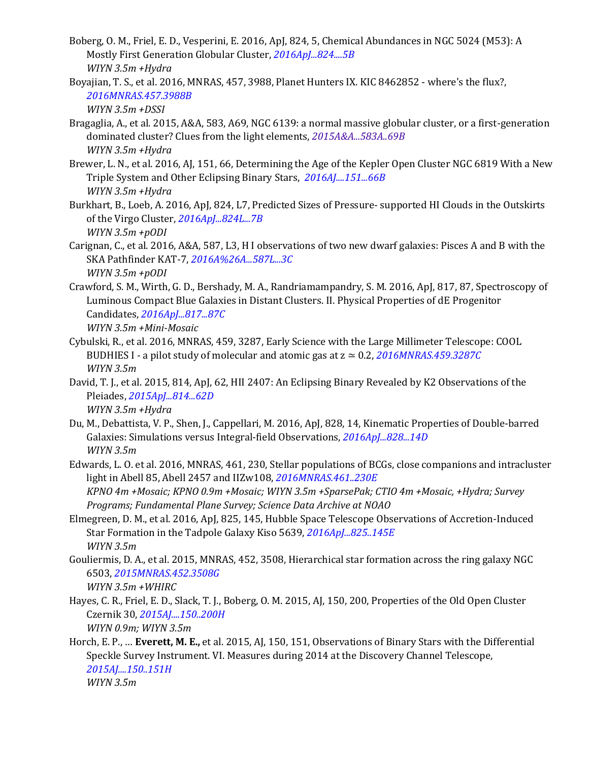- Boberg, O. M., Friel, E. D., Vesperini, E. 2016, ApJ, 824, 5, Chemical Abundances in NGC 5024 (M53): A Mostly First Generation Globular Cluster, *[2016ApJ...824....5B](http://adsabs.harvard.edu/abs/2016ApJ...824....5B) WIYN 3.5m +Hydra*
- Boyajian, T. S., et al. 2016, MNRAS, 457, 3988, Planet Hunters IX. KIC 8462852 where's the flux?, *[2016MNRAS.457.3988B](http://adsabs.harvard.edu/abs/2016MNRAS.457.3988B)*

```
WIYN 3.5m +DSSI
```
- Bragaglia, A., et al. 2015, A&A, 583, A69, NGC 6139: a normal massive globular cluster, or a first-generation dominated cluster? Clues from the light elements, *[2015A&A...583A..69B](http://adsabs.harvard.edu/abs/2015A%26A...583A..69B) WIYN 3.5m +Hydra*
- Brewer, L. N., et al. 2016, AJ, 151, 66, Determining the Age of the Kepler Open Cluster NGC 6819 With a New Triple System and Other Eclipsing Binary Stars, *[2016AJ....151...66B](http://adsabs.harvard.edu/abs/2016AJ....151...66B) WIYN 3.5m +Hydra*
- Burkhart, B., Loeb, A. 2016, ApJ, 824, L7, Predicted Sizes of Pressure- supported HI Clouds in the Outskirts of the Virgo Cluster, *[2016ApJ...824L...7B](http://adsabs.harvard.edu/abs/2016ApJ...824L...7B) WIYN 3.5m +pODI*
- Carignan, C., et al. 2016, A&A, 587, L3, H I observations of two new dwarf galaxies: Pisces A and B with the SKA Pathfinder KAT-7, *[2016A%26A...587L...3C](http://adsabs.harvard.edu/abs/2016A%26A...587L...3C) WIYN 3.5m +pODI*
- Crawford, S. M., Wirth, G. D., Bershady, M. A., Randriamampandry, S. M. 2016, ApJ, 817, 87, Spectroscopy of Luminous Compact Blue Galaxies in Distant Clusters. II. Physical Properties of dE Progenitor Candidates, *[2016ApJ...817...87C](http://adsabs.harvard.edu/abs/2016ApJ...817...87C) WIYN 3.5m +Mini-Mosaic*
- Cybulski, R., et al. 2016, MNRAS, 459, 3287, Early Science with the Large Millimeter Telescope: COOL BUDHIES I - a pilot study of molecular and atomic gas at z ≃ 0.2, *[2016MNRAS.459.3287C](http://adsabs.harvard.edu/abs/2016MNRAS.459.3287C) WIYN 3.5m*
- David, T. J., et al. 2015, 814, ApJ, 62, HII 2407: An Eclipsing Binary Revealed by K2 Observations of the Pleiades, *[2015ApJ...814...62D](http://adsabs.harvard.edu/abs/2015ApJ...814...62D) WIYN 3.5m +Hydra*
- Du, M., Debattista, V. P., Shen, J., Cappellari, M. 2016, ApJ, 828, 14, Kinematic Properties of Double-barred Galaxies: Simulations versus Integral-field Observations, *[2016ApJ...828...14D](http://adsabs.harvard.edu/abs/2016ApJ...828...14D) WIYN 3.5m*
- Edwards, L. O. et al. 2016, MNRAS, 461, 230, Stellar populations of BCGs, close companions and intracluster light in Abell 85, Abell 2457 and IIZw108, *[2016MNRAS.461..230E](http://adsabs.harvard.edu/abs/2016MNRAS.461..230E) KPNO 4m +Mosaic; KPNO 0.9m +Mosaic; WIYN 3.5m +SparsePak; CTIO 4m +Mosaic, +Hydra; Survey Programs; Fundamental Plane Survey; Science Data Archive at NOAO*
- Elmegreen, D. M., et al. 2016, ApJ, 825, 145, Hubble Space Telescope Observations of Accretion-Induced Star Formation in the Tadpole Galaxy Kiso 5639, *[2016ApJ...825..145E](http://adsabs.harvard.edu/abs/2016ApJ...825..145E) WIYN 3.5m*
- Gouliermis, D. A., et al. 2015, MNRAS, 452, 3508, Hierarchical star formation across the ring galaxy NGC 6503, *[2015MNRAS.452.3508G](http://adsabs.harvard.edu/abs/2015MNRAS.452.3508G)*
	- *WIYN 3.5m +WHIRC*
- Hayes, C. R., Friel, E. D., Slack, T. J., Boberg, O. M. 2015, AJ, 150, 200, Properties of the Old Open Cluster Czernik 30, *[2015AJ....150..200H](http://adsabs.harvard.edu/abs/2015AJ....150..200H) WIYN 0.9m; WIYN 3.5m*
- Horch, E. P., … **Everett, M. E.,** et al. 2015, AJ, 150, 151, Observations of Binary Stars with the Differential Speckle Survey Instrument. VI. Measures during 2014 at the Discovery Channel Telescope, *[2015AJ....150..151H](http://adsabs.harvard.edu/abs/2015AJ....150..151H) WIYN 3.5m*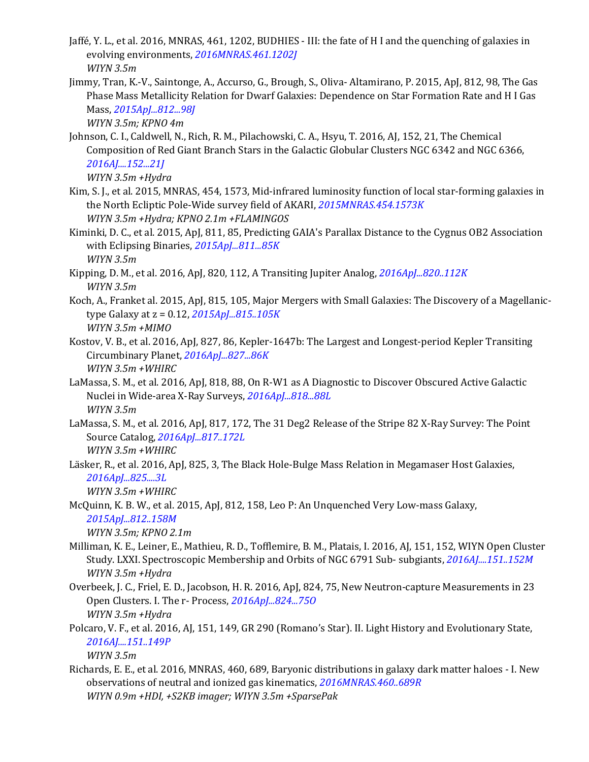- Jaffé, Y. L., et al. 2016, MNRAS, 461, 1202, BUDHIES III: the fate of H I and the quenching of galaxies in evolving environments, *[2016MNRAS.461.1202J](http://adsabs.harvard.edu/abs/2016MNRAS.461.1202J) WIYN 3.5m*
- Jimmy, Tran, K.-V., Saintonge, A., Accurso, G., Brough, S., Oliva- Altamirano, P. 2015, ApJ, 812, 98, The Gas Phase Mass Metallicity Relation for Dwarf Galaxies: Dependence on Star Formation Rate and H I Gas Mass, *[2015ApJ...812...98J](http://adsabs.harvard.edu/abs/2015ApJ...812...98J)*

*WIYN 3.5m; KPNO 4m*

Johnson, C. I., Caldwell, N., Rich, R. M., Pilachowski, C. A., Hsyu, T. 2016, AJ, 152, 21, The Chemical Composition of Red Giant Branch Stars in the Galactic Globular Clusters NGC 6342 and NGC 6366, *[2016AJ....152...21J](http://adsabs.harvard.edu/abs/2016AJ....152...21J)*

*WIYN 3.5m +Hydra*

- Kim, S. J., et al. 2015, MNRAS, 454, 1573, Mid-infrared luminosity function of local star-forming galaxies in the North Ecliptic Pole-Wide survey field of AKARI, *[2015MNRAS.454.1573K](http://adsabs.harvard.edu/abs/2015MNRAS.454.1573K) WIYN 3.5m +Hydra; KPNO 2.1m +FLAMINGOS*
- Kiminki, D. C., et al. 2015, ApJ, 811, 85, Predicting GAIA's Parallax Distance to the Cygnus OB2 Association with Eclipsing Binaries, *[2015ApJ...811...85K](http://adsabs.harvard.edu/abs/2015ApJ...811...85K) WIYN 3.5m*
- Kipping, D. M., et al. 2016, ApJ, 820, 112, A Transiting Jupiter Analog, *[2016ApJ...820..112K](http://adsabs.harvard.edu/abs/2016ApJ...820..112K) WIYN 3.5m*
- Koch, A., Franket al. 2015, ApJ, 815, 105, Major Mergers with Small Galaxies: The Discovery of a Magellanictype Galaxy at z = 0.12, *[2015ApJ...815..105K](http://adsabs.harvard.edu/abs/2015ApJ...815..105K) WIYN 3.5m +MIMO*
- Kostov, V. B., et al. 2016, ApJ, 827, 86, Kepler-1647b: The Largest and Longest-period Kepler Transiting Circumbinary Planet, *[2016ApJ...827...86K](http://adsabs.harvard.edu/abs/2016ApJ...827...86K) WIYN 3.5m +WHIRC*
- LaMassa, S. M., et al. 2016, ApJ, 818, 88, On R-W1 as A Diagnostic to Discover Obscured Active Galactic Nuclei in Wide-area X-Ray Surveys, *[2016ApJ...818...88L](http://adsabs.harvard.edu/abs/2016ApJ...818...88L) WIYN 3.5m*
- LaMassa, S. M., et al. 2016, ApJ, 817, 172, The 31 Deg2 Release of the Stripe 82 X-Ray Survey: The Point Source Catalog, *[2016ApJ...817..172L](http://adsabs.harvard.edu/abs/2016ApJ...817..172L) WIYN 3.5m +WHIRC*
- Läsker, R., et al. 2016, ApJ, 825, 3, The Black Hole-Bulge Mass Relation in Megamaser Host Galaxies, *[2016ApJ...825....3L](http://adsabs.harvard.edu/abs/2016ApJ...825....3L)*

*WIYN 3.5m +WHIRC*

McQuinn, K. B. W., et al. 2015, ApJ, 812, 158, Leo P: An Unquenched Very Low-mass Galaxy, *[2015ApJ...812..158M](http://adsabs.harvard.edu/abs/2015ApJ...812..158M) WIYN 3.5m; KPNO 2.1m*

Milliman, K. E., Leiner, E., Mathieu, R. D., Tofflemire, B. M., Platais, I. 2016, AJ, 151, 152, WIYN Open Cluster

- Study. LXXI. Spectroscopic Membership and Orbits of NGC 6791 Sub- subgiants, *[2016AJ....151..152M](http://adsabs.harvard.edu/abs/2016AJ....151..152M) WIYN 3.5m +Hydra*
- Overbeek, J. C., Friel, E. D., Jacobson, H. R. 2016, ApJ, 824, 75, New Neutron-capture Measurements in 23 Open Clusters. I. The r- Process, *[2016ApJ...824...75O](http://adsabs.harvard.edu/abs/2016ApJ...824...75O) WIYN 3.5m +Hydra*
- Polcaro, V. F., et al. 2016, AJ, 151, 149, GR 290 (Romano's Star). II. Light History and Evolutionary State, *[2016AJ....151..149P](http://adsabs.harvard.edu/abs/2016AJ....151..149P)*

*WIYN 3.5m*

Richards, E. E., et al. 2016, MNRAS, 460, 689, Baryonic distributions in galaxy dark matter haloes - I. New observations of neutral and ionized gas kinematics, *[2016MNRAS.460..689R](http://adsabs.harvard.edu/abs/2016MNRAS.460..689R) WIYN 0.9m +HDI, +S2KB imager; WIYN 3.5m +SparsePak*